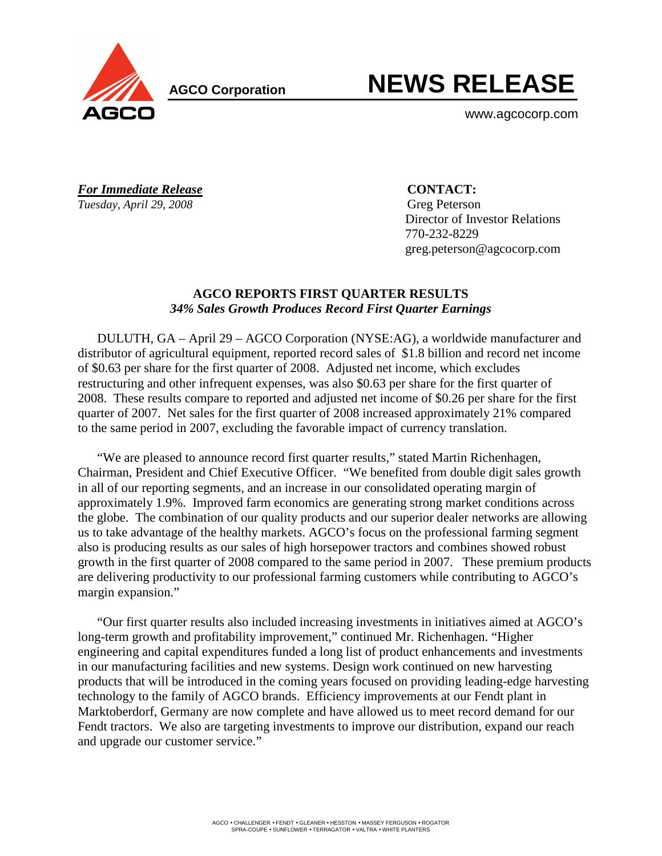

**AGCO Corporation** 

# **NEWS RELEASE**

www.agcocorp.com

*For Immediate Release* **CONTACT:** *Tuesday, April 29, 2008* Greg Peterson

 Director of Investor Relations 770-232-8229 greg.peterson@agcocorp.com

## **AGCO REPORTS FIRST QUARTER RESULTS**  *34% Sales Growth Produces Record First Quarter Earnings*

DULUTH, GA – April 29 – AGCO Corporation (NYSE:AG), a worldwide manufacturer and distributor of agricultural equipment, reported record sales of \$1.8 billion and record net income of \$0.63 per share for the first quarter of 2008. Adjusted net income, which excludes restructuring and other infrequent expenses, was also \$0.63 per share for the first quarter of 2008. These results compare to reported and adjusted net income of \$0.26 per share for the first quarter of 2007. Net sales for the first quarter of 2008 increased approximately 21% compared to the same period in 2007, excluding the favorable impact of currency translation.

"We are pleased to announce record first quarter results," stated Martin Richenhagen, Chairman, President and Chief Executive Officer. "We benefited from double digit sales growth in all of our reporting segments, and an increase in our consolidated operating margin of approximately 1.9%. Improved farm economics are generating strong market conditions across the globe. The combination of our quality products and our superior dealer networks are allowing us to take advantage of the healthy markets. AGCO's focus on the professional farming segment also is producing results as our sales of high horsepower tractors and combines showed robust growth in the first quarter of 2008 compared to the same period in 2007. These premium products are delivering productivity to our professional farming customers while contributing to AGCO's margin expansion."

"Our first quarter results also included increasing investments in initiatives aimed at AGCO's long-term growth and profitability improvement," continued Mr. Richenhagen. "Higher engineering and capital expenditures funded a long list of product enhancements and investments in our manufacturing facilities and new systems. Design work continued on new harvesting products that will be introduced in the coming years focused on providing leading-edge harvesting technology to the family of AGCO brands. Efficiency improvements at our Fendt plant in Marktoberdorf, Germany are now complete and have allowed us to meet record demand for our Fendt tractors. We also are targeting investments to improve our distribution, expand our reach and upgrade our customer service."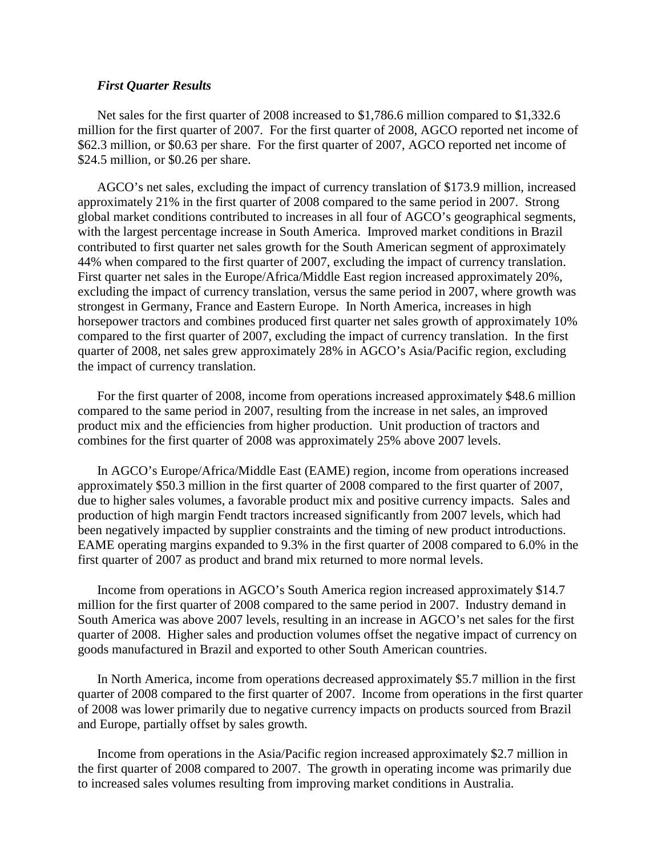## *First Quarter Results*

Net sales for the first quarter of 2008 increased to \$1,786.6 million compared to \$1,332.6 million for the first quarter of 2007. For the first quarter of 2008, AGCO reported net income of \$62.3 million, or \$0.63 per share. For the first quarter of 2007, AGCO reported net income of \$24.5 million, or \$0.26 per share.

AGCO's net sales, excluding the impact of currency translation of \$173.9 million, increased approximately 21% in the first quarter of 2008 compared to the same period in 2007. Strong global market conditions contributed to increases in all four of AGCO's geographical segments, with the largest percentage increase in South America. Improved market conditions in Brazil contributed to first quarter net sales growth for the South American segment of approximately 44% when compared to the first quarter of 2007, excluding the impact of currency translation. First quarter net sales in the Europe/Africa/Middle East region increased approximately 20%, excluding the impact of currency translation, versus the same period in 2007, where growth was strongest in Germany, France and Eastern Europe. In North America, increases in high horsepower tractors and combines produced first quarter net sales growth of approximately 10% compared to the first quarter of 2007, excluding the impact of currency translation. In the first quarter of 2008, net sales grew approximately 28% in AGCO's Asia/Pacific region, excluding the impact of currency translation.

For the first quarter of 2008, income from operations increased approximately \$48.6 million compared to the same period in 2007, resulting from the increase in net sales, an improved product mix and the efficiencies from higher production. Unit production of tractors and combines for the first quarter of 2008 was approximately 25% above 2007 levels.

In AGCO's Europe/Africa/Middle East (EAME) region, income from operations increased approximately \$50.3 million in the first quarter of 2008 compared to the first quarter of 2007, due to higher sales volumes, a favorable product mix and positive currency impacts. Sales and production of high margin Fendt tractors increased significantly from 2007 levels, which had been negatively impacted by supplier constraints and the timing of new product introductions. EAME operating margins expanded to 9.3% in the first quarter of 2008 compared to 6.0% in the first quarter of 2007 as product and brand mix returned to more normal levels.

Income from operations in AGCO's South America region increased approximately \$14.7 million for the first quarter of 2008 compared to the same period in 2007. Industry demand in South America was above 2007 levels, resulting in an increase in AGCO's net sales for the first quarter of 2008. Higher sales and production volumes offset the negative impact of currency on goods manufactured in Brazil and exported to other South American countries.

In North America, income from operations decreased approximately \$5.7 million in the first quarter of 2008 compared to the first quarter of 2007. Income from operations in the first quarter of 2008 was lower primarily due to negative currency impacts on products sourced from Brazil and Europe, partially offset by sales growth.

Income from operations in the Asia/Pacific region increased approximately \$2.7 million in the first quarter of 2008 compared to 2007. The growth in operating income was primarily due to increased sales volumes resulting from improving market conditions in Australia.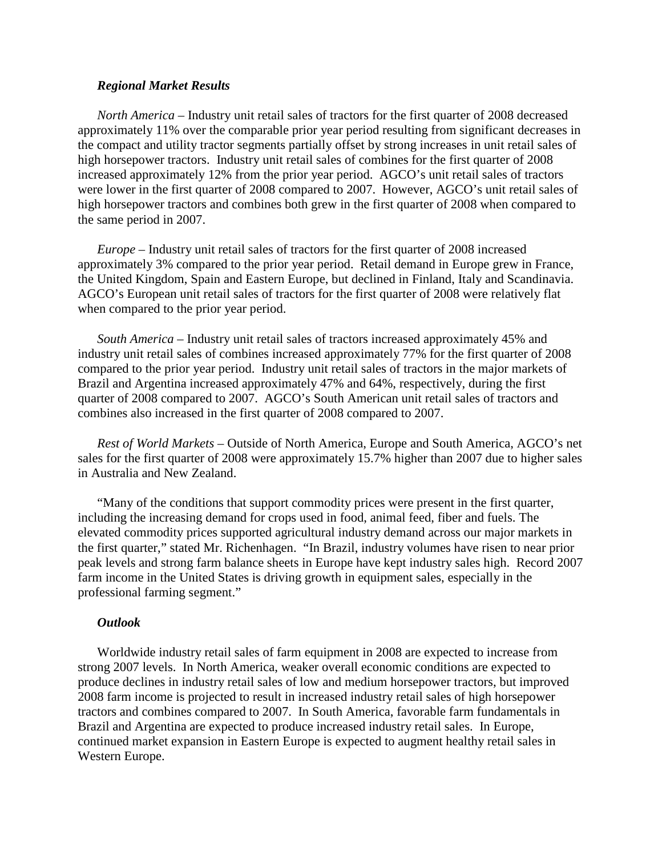## *Regional Market Results*

*North America –* Industry unit retail sales of tractors for the first quarter of 2008 decreased approximately 11% over the comparable prior year period resulting from significant decreases in the compact and utility tractor segments partially offset by strong increases in unit retail sales of high horsepower tractors. Industry unit retail sales of combines for the first quarter of 2008 increased approximately 12% from the prior year period. AGCO's unit retail sales of tractors were lower in the first quarter of 2008 compared to 2007. However, AGCO's unit retail sales of high horsepower tractors and combines both grew in the first quarter of 2008 when compared to the same period in 2007.

*Europe –* Industry unit retail sales of tractors for the first quarter of 2008 increased approximately 3% compared to the prior year period. Retail demand in Europe grew in France, the United Kingdom, Spain and Eastern Europe, but declined in Finland, Italy and Scandinavia. AGCO's European unit retail sales of tractors for the first quarter of 2008 were relatively flat when compared to the prior year period.

*South America –* Industry unit retail sales of tractors increased approximately 45% and industry unit retail sales of combines increased approximately 77% for the first quarter of 2008 compared to the prior year period. Industry unit retail sales of tractors in the major markets of Brazil and Argentina increased approximately 47% and 64%, respectively, during the first quarter of 2008 compared to 2007. AGCO's South American unit retail sales of tractors and combines also increased in the first quarter of 2008 compared to 2007.

*Rest of World Markets –* Outside of North America, Europe and South America, AGCO's net sales for the first quarter of 2008 were approximately 15.7% higher than 2007 due to higher sales in Australia and New Zealand.

"Many of the conditions that support commodity prices were present in the first quarter, including the increasing demand for crops used in food, animal feed, fiber and fuels. The elevated commodity prices supported agricultural industry demand across our major markets in the first quarter," stated Mr. Richenhagen. "In Brazil, industry volumes have risen to near prior peak levels and strong farm balance sheets in Europe have kept industry sales high. Record 2007 farm income in the United States is driving growth in equipment sales, especially in the professional farming segment."

#### *Outlook*

Worldwide industry retail sales of farm equipment in 2008 are expected to increase from strong 2007 levels. In North America, weaker overall economic conditions are expected to produce declines in industry retail sales of low and medium horsepower tractors, but improved 2008 farm income is projected to result in increased industry retail sales of high horsepower tractors and combines compared to 2007. In South America, favorable farm fundamentals in Brazil and Argentina are expected to produce increased industry retail sales. In Europe, continued market expansion in Eastern Europe is expected to augment healthy retail sales in Western Europe.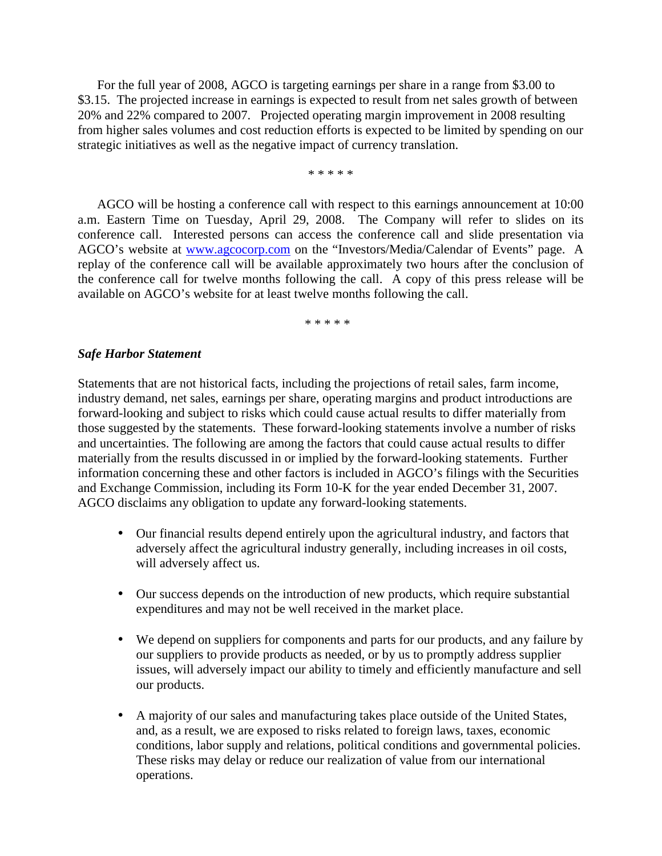For the full year of 2008, AGCO is targeting earnings per share in a range from \$3.00 to \$3.15. The projected increase in earnings is expected to result from net sales growth of between 20% and 22% compared to 2007. Projected operating margin improvement in 2008 resulting from higher sales volumes and cost reduction efforts is expected to be limited by spending on our strategic initiatives as well as the negative impact of currency translation.

\* \* \* \* \*

AGCO will be hosting a conference call with respect to this earnings announcement at 10:00 a.m. Eastern Time on Tuesday, April 29, 2008. The Company will refer to slides on its conference call. Interested persons can access the conference call and slide presentation via AGCO's website at www.agcocorp.com on the "Investors/Media/Calendar of Events" page. A replay of the conference call will be available approximately two hours after the conclusion of the conference call for twelve months following the call. A copy of this press release will be available on AGCO's website for at least twelve months following the call.

\* \* \* \* \*

## *Safe Harbor Statement*

Statements that are not historical facts, including the projections of retail sales, farm income, industry demand, net sales, earnings per share, operating margins and product introductions are forward-looking and subject to risks which could cause actual results to differ materially from those suggested by the statements. These forward-looking statements involve a number of risks and uncertainties. The following are among the factors that could cause actual results to differ materially from the results discussed in or implied by the forward-looking statements. Further information concerning these and other factors is included in AGCO's filings with the Securities and Exchange Commission, including its Form 10-K for the year ended December 31, 2007. AGCO disclaims any obligation to update any forward-looking statements.

- Our financial results depend entirely upon the agricultural industry, and factors that adversely affect the agricultural industry generally, including increases in oil costs, will adversely affect us.
- Our success depends on the introduction of new products, which require substantial expenditures and may not be well received in the market place.
- We depend on suppliers for components and parts for our products, and any failure by our suppliers to provide products as needed, or by us to promptly address supplier issues, will adversely impact our ability to timely and efficiently manufacture and sell our products.
- A majority of our sales and manufacturing takes place outside of the United States, and, as a result, we are exposed to risks related to foreign laws, taxes, economic conditions, labor supply and relations, political conditions and governmental policies. These risks may delay or reduce our realization of value from our international operations.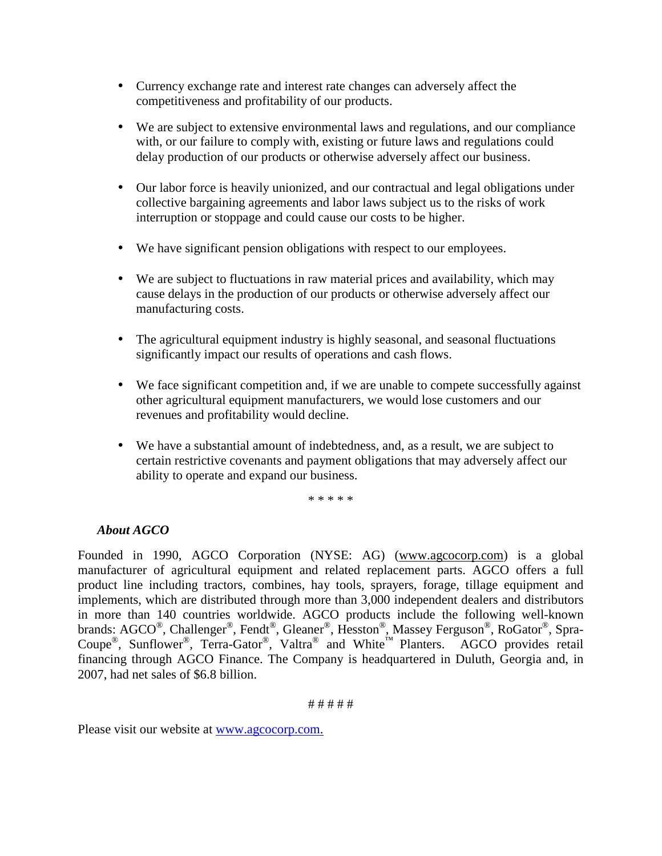- Currency exchange rate and interest rate changes can adversely affect the competitiveness and profitability of our products.
- We are subject to extensive environmental laws and regulations, and our compliance with, or our failure to comply with, existing or future laws and regulations could delay production of our products or otherwise adversely affect our business.
- Our labor force is heavily unionized, and our contractual and legal obligations under collective bargaining agreements and labor laws subject us to the risks of work interruption or stoppage and could cause our costs to be higher.
- We have significant pension obligations with respect to our employees.
- We are subject to fluctuations in raw material prices and availability, which may cause delays in the production of our products or otherwise adversely affect our manufacturing costs.
- The agricultural equipment industry is highly seasonal, and seasonal fluctuations significantly impact our results of operations and cash flows.
- We face significant competition and, if we are unable to compete successfully against other agricultural equipment manufacturers, we would lose customers and our revenues and profitability would decline.
- We have a substantial amount of indebtedness, and, as a result, we are subject to certain restrictive covenants and payment obligations that may adversely affect our ability to operate and expand our business.

\* \* \* \* \*

# *About AGCO*

Founded in 1990, AGCO Corporation (NYSE: AG) (www.agcocorp.com) is a global manufacturer of agricultural equipment and related replacement parts. AGCO offers a full product line including tractors, combines, hay tools, sprayers, forage, tillage equipment and implements, which are distributed through more than 3,000 independent dealers and distributors in more than 140 countries worldwide. AGCO products include the following well-known brands: AGCO<sup>®</sup>, Challenger<sup>®</sup>, Fendt<sup>®</sup>, Gleaner<sup>®</sup>, Hesston®, Massey Ferguson®, RoGator®, Spra-Coupe<sup>®</sup>, Sunflower<sup>®</sup>, Terra-Gator<sup>®</sup>, Valtra<sup>®</sup> and White™ Planters. AGCO provides retail financing through AGCO Finance. The Company is headquartered in Duluth, Georgia and, in 2007, had net sales of \$6.8 billion.

# # # # #

Please visit our website at www.agcocorp.com.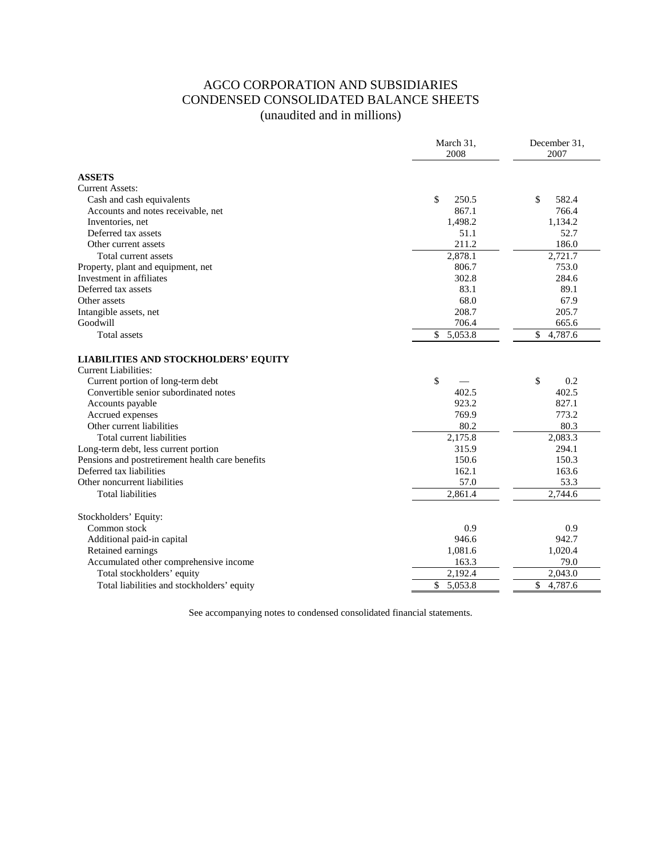# AGCO CORPORATION AND SUBSIDIARIES CONDENSED CONSOLIDATED BALANCE SHEETS (unaudited and in millions)

|                                                                     | March 31,<br>2008 | December 31,<br>2007       |
|---------------------------------------------------------------------|-------------------|----------------------------|
| <b>ASSETS</b>                                                       |                   |                            |
| <b>Current Assets:</b>                                              |                   |                            |
| Cash and cash equivalents                                           | \$<br>250.5       | \$<br>582.4                |
| Accounts and notes receivable, net                                  | 867.1             | 766.4                      |
| Inventories, net                                                    | 1,498.2           | 1,134.2                    |
| Deferred tax assets                                                 | 51.1              | 52.7                       |
| Other current assets                                                | 211.2             | 186.0                      |
| Total current assets                                                | 2,878.1           | 2,721.7                    |
| Property, plant and equipment, net                                  | 806.7             | 753.0                      |
| Investment in affiliates                                            | 302.8             | 284.6                      |
| Deferred tax assets                                                 | 83.1              | 89.1                       |
| Other assets                                                        | 68.0              | 67.9                       |
| Intangible assets, net                                              | 208.7             | 205.7                      |
| Goodwill                                                            | 706.4             | 665.6                      |
| Total assets                                                        | \$<br>5,053.8     | \$<br>4,787.6              |
| <b>LIABILITIES AND STOCKHOLDERS' EQUITY</b><br>Current Liabilities: |                   |                            |
| Current portion of long-term debt                                   | \$                | \$<br>0.2                  |
| Convertible senior subordinated notes                               | 402.5             | 402.5                      |
| Accounts payable                                                    | 923.2             | 827.1                      |
| Accrued expenses                                                    | 769.9             | 773.2                      |
| Other current liabilities                                           | 80.2              | 80.3                       |
| Total current liabilities                                           | 2,175.8           | 2,083.3                    |
| Long-term debt, less current portion                                | 315.9             | 294.1                      |
| Pensions and postretirement health care benefits                    | 150.6             | 150.3                      |
| Deferred tax liabilities                                            | 162.1             | 163.6                      |
| Other noncurrent liabilities                                        | 57.0              | 53.3                       |
| <b>Total liabilities</b>                                            | 2,861.4           | $\overline{2,}744.6$       |
| Stockholders' Equity:                                               |                   |                            |
| Common stock                                                        | 0.9               | 0.9                        |
| Additional paid-in capital                                          | 946.6             | 942.7                      |
| Retained earnings                                                   | 1,081.6           | 1,020.4                    |
| Accumulated other comprehensive income                              | 163.3             | 79.0                       |
| Total stockholders' equity                                          | 2,192.4           | 2,043.0                    |
| Total liabilities and stockholders' equity                          | \$<br>5,053.8     | \$<br>$4,787.\overline{6}$ |

See accompanying notes to condensed consolidated financial statements.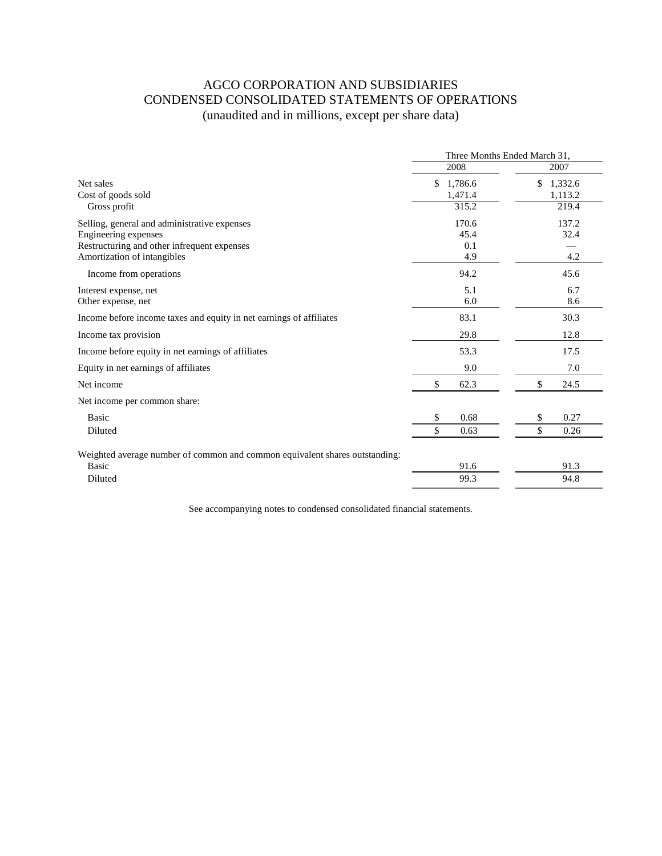# AGCO CORPORATION AND SUBSIDIARIES CONDENSED CONSOLIDATED STATEMENTS OF OPERATIONS (unaudited and in millions, except per share data)

|                                                                             | Three Months Ended March 31, |                          |  |
|-----------------------------------------------------------------------------|------------------------------|--------------------------|--|
|                                                                             | 2008                         | 2007                     |  |
| Net sales<br>Cost of goods sold                                             | \$1,786.6<br>1,471.4         | 1,332.6<br>\$<br>1,113.2 |  |
| Gross profit                                                                | 315.2                        | 219.4                    |  |
| Selling, general and administrative expenses                                | 170.6                        | 137.2                    |  |
| Engineering expenses                                                        | 45.4                         | 32.4                     |  |
| Restructuring and other infrequent expenses                                 | 0.1                          |                          |  |
| Amortization of intangibles                                                 | 4.9                          | 4.2                      |  |
| Income from operations                                                      | 94.2                         | 45.6                     |  |
| Interest expense, net                                                       | 5.1                          | 6.7                      |  |
| Other expense, net                                                          | 6.0                          | 8.6                      |  |
| Income before income taxes and equity in net earnings of affiliates         | 83.1                         | 30.3                     |  |
| Income tax provision                                                        | 29.8                         | 12.8                     |  |
| Income before equity in net earnings of affiliates                          | 53.3                         | 17.5                     |  |
| Equity in net earnings of affiliates                                        | 9.0                          | 7.0                      |  |
| Net income                                                                  | \$<br>62.3                   | \$<br>24.5               |  |
| Net income per common share:                                                |                              |                          |  |
| <b>Basic</b>                                                                | 0.68<br>\$                   | 0.27<br>\$               |  |
| Diluted                                                                     | 0.63                         | 0.26                     |  |
| Weighted average number of common and common equivalent shares outstanding: |                              |                          |  |
| <b>Basic</b>                                                                | 91.6                         | 91.3                     |  |
| Diluted                                                                     | 99.3                         | 94.8                     |  |
|                                                                             |                              |                          |  |

See accompanying notes to condensed consolidated financial statements.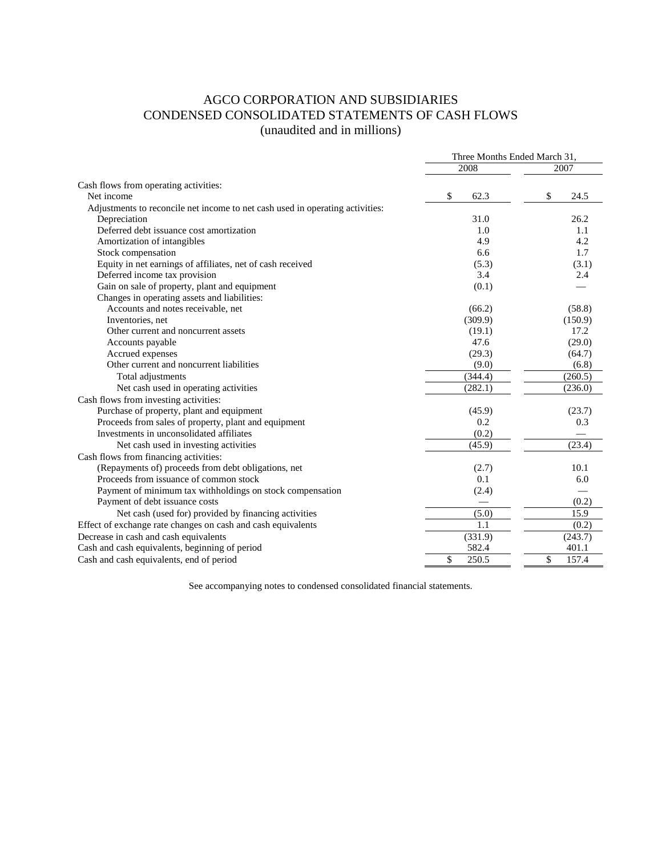# AGCO CORPORATION AND SUBSIDIARIES CONDENSED CONSOLIDATED STATEMENTS OF CASH FLOWS (unaudited and in millions)

|                                                                               | Three Months Ended March 31, |             |  |
|-------------------------------------------------------------------------------|------------------------------|-------------|--|
|                                                                               | 2008                         | 2007        |  |
| Cash flows from operating activities:                                         |                              |             |  |
| Net income                                                                    | \$<br>62.3                   | \$<br>24.5  |  |
| Adjustments to reconcile net income to net cash used in operating activities: |                              |             |  |
| Depreciation                                                                  | 31.0                         | 26.2        |  |
| Deferred debt issuance cost amortization                                      | 1.0                          | 1.1         |  |
| Amortization of intangibles                                                   | 4.9                          | 4.2         |  |
| Stock compensation                                                            | 6.6                          | 1.7         |  |
| Equity in net earnings of affiliates, net of cash received                    | (5.3)                        | (3.1)       |  |
| Deferred income tax provision                                                 | 3.4                          | 2.4         |  |
| Gain on sale of property, plant and equipment                                 | (0.1)                        |             |  |
| Changes in operating assets and liabilities:                                  |                              |             |  |
| Accounts and notes receivable, net                                            | (66.2)                       | (58.8)      |  |
| Inventories, net                                                              | (309.9)                      | (150.9)     |  |
| Other current and noncurrent assets                                           | (19.1)                       | 17.2        |  |
| Accounts payable                                                              | 47.6                         | (29.0)      |  |
| Accrued expenses                                                              | (29.3)                       | (64.7)      |  |
| Other current and noncurrent liabilities                                      | (9.0)                        | (6.8)       |  |
| Total adjustments                                                             | (344.4)                      | (260.5)     |  |
| Net cash used in operating activities                                         | (282.1)                      | (236.0)     |  |
| Cash flows from investing activities:                                         |                              |             |  |
| Purchase of property, plant and equipment                                     | (45.9)                       | (23.7)      |  |
| Proceeds from sales of property, plant and equipment                          | 0.2                          | 0.3         |  |
| Investments in unconsolidated affiliates                                      | (0.2)                        |             |  |
| Net cash used in investing activities                                         | (45.9)                       | (23.4)      |  |
| Cash flows from financing activities:                                         |                              |             |  |
| (Repayments of) proceeds from debt obligations, net                           | (2.7)                        | 10.1        |  |
| Proceeds from issuance of common stock                                        | 0.1                          | 6.0         |  |
| Payment of minimum tax withholdings on stock compensation                     | (2.4)                        |             |  |
| Payment of debt issuance costs                                                |                              | (0.2)       |  |
| Net cash (used for) provided by financing activities                          | (5.0)                        | 15.9        |  |
| Effect of exchange rate changes on cash and cash equivalents                  | 1.1                          | (0.2)       |  |
| Decrease in cash and cash equivalents                                         | (331.9)                      | (243.7)     |  |
| Cash and cash equivalents, beginning of period                                | 582.4                        | 401.1       |  |
| Cash and cash equivalents, end of period                                      | \$<br>250.5                  | \$<br>157.4 |  |

See accompanying notes to condensed consolidated financial statements.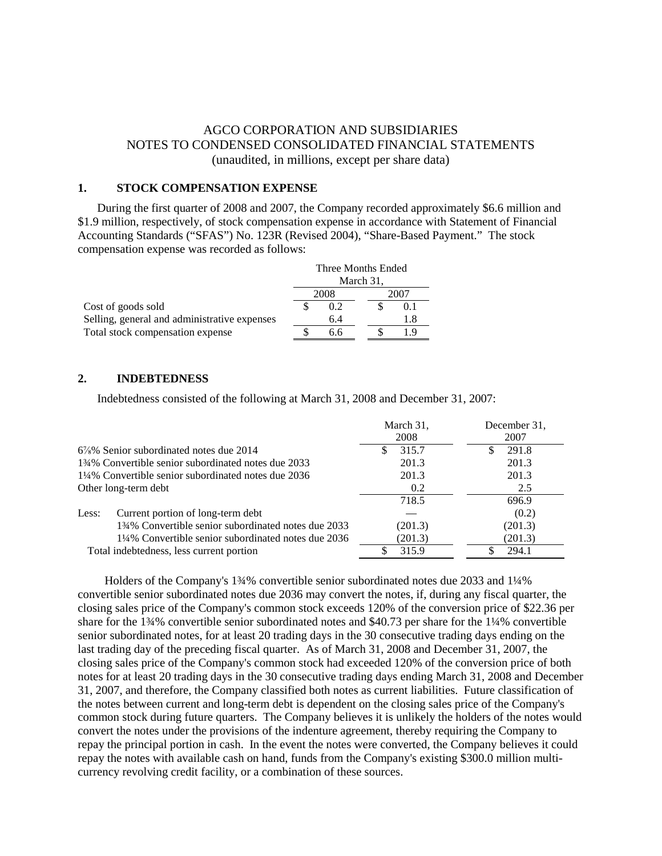## AGCO CORPORATION AND SUBSIDIARIES NOTES TO CONDENSED CONSOLIDATED FINANCIAL STATEMENTS (unaudited, in millions, except per share data)

## **1. STOCK COMPENSATION EXPENSE**

During the first quarter of 2008 and 2007, the Company recorded approximately \$6.6 million and \$1.9 million, respectively, of stock compensation expense in accordance with Statement of Financial Accounting Standards ("SFAS") No. 123R (Revised 2004), "Share-Based Payment." The stock compensation expense was recorded as follows:

|                                              | Three Months Ended |     |  |      |     |
|----------------------------------------------|--------------------|-----|--|------|-----|
|                                              | March 31,          |     |  |      |     |
|                                              | 2008               |     |  | 2007 |     |
| Cost of goods sold                           |                    | 0.2 |  |      | 0.1 |
| Selling, general and administrative expenses |                    | 6.4 |  |      | 1.8 |
| Total stock compensation expense             |                    | 6.6 |  |      | 19  |

#### **2. INDEBTEDNESS**

Indebtedness consisted of the following at March 31, 2008 and December 31, 2007:

|                                                      | March 31,<br>2008 | December 31,<br>2007 |
|------------------------------------------------------|-------------------|----------------------|
| $6\frac{7}{8}\%$ Senior subordinated notes due 2014  | 315.7             | 291.8                |
| 13/4% Convertible senior subordinated notes due 2033 | 201.3             | 201.3                |
| 1¼% Convertible senior subordinated notes due 2036   | 201.3             | 201.3                |
| Other long-term debt                                 | 0.2               | 2.5                  |
|                                                      | 718.5             | 696.9                |
| Current portion of long-term debt<br>Less:           |                   | (0.2)                |
| 134% Convertible senior subordinated notes due 2033  | (201.3)           | (201.3)              |
| 1¼% Convertible senior subordinated notes due 2036   | (201.3)           | (201.3)              |
| Total indebtedness, less current portion             | 315.9             | 294.1                |

 Holders of the Company's 1¾% convertible senior subordinated notes due 2033 and 1¼% convertible senior subordinated notes due 2036 may convert the notes, if, during any fiscal quarter, the closing sales price of the Company's common stock exceeds 120% of the conversion price of \$22.36 per share for the 1¾% convertible senior subordinated notes and \$40.73 per share for the 1¼% convertible senior subordinated notes, for at least 20 trading days in the 30 consecutive trading days ending on the last trading day of the preceding fiscal quarter. As of March 31, 2008 and December 31, 2007, the closing sales price of the Company's common stock had exceeded 120% of the conversion price of both notes for at least 20 trading days in the 30 consecutive trading days ending March 31, 2008 and December 31, 2007, and therefore, the Company classified both notes as current liabilities. Future classification of the notes between current and long-term debt is dependent on the closing sales price of the Company's common stock during future quarters. The Company believes it is unlikely the holders of the notes would convert the notes under the provisions of the indenture agreement, thereby requiring the Company to repay the principal portion in cash. In the event the notes were converted, the Company believes it could repay the notes with available cash on hand, funds from the Company's existing \$300.0 million multicurrency revolving credit facility, or a combination of these sources.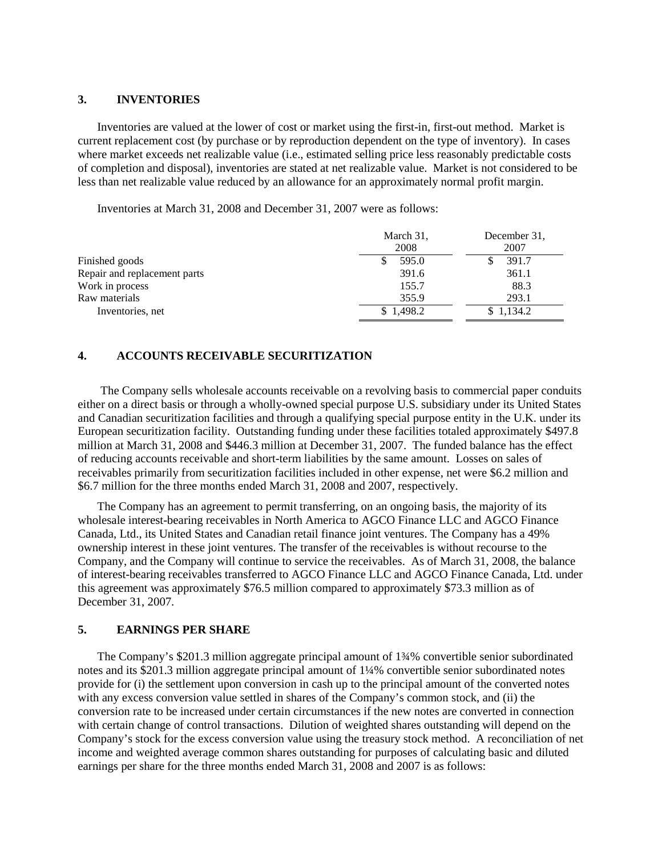#### **3. INVENTORIES**

Inventories are valued at the lower of cost or market using the first-in, first-out method. Market is current replacement cost (by purchase or by reproduction dependent on the type of inventory). In cases where market exceeds net realizable value (i.e., estimated selling price less reasonably predictable costs of completion and disposal), inventories are stated at net realizable value. Market is not considered to be less than net realizable value reduced by an allowance for an approximately normal profit margin.

Inventories at March 31, 2008 and December 31, 2007 were as follows:

|                              | March 31,<br>2008 | December 31.<br>2007 |
|------------------------------|-------------------|----------------------|
| Finished goods               | 595.0             | 391.7                |
| Repair and replacement parts | 391.6             | 361.1                |
| Work in process              | 155.7             | 88.3                 |
| Raw materials                | 355.9             | 293.1                |
| Inventories, net             | \$1,498.2         | \$1,134.2            |

## **4. ACCOUNTS RECEIVABLE SECURITIZATION**

The Company sells wholesale accounts receivable on a revolving basis to commercial paper conduits either on a direct basis or through a wholly-owned special purpose U.S. subsidiary under its United States and Canadian securitization facilities and through a qualifying special purpose entity in the U.K. under its European securitization facility. Outstanding funding under these facilities totaled approximately \$497.8 million at March 31, 2008 and \$446.3 million at December 31, 2007. The funded balance has the effect of reducing accounts receivable and short-term liabilities by the same amount. Losses on sales of receivables primarily from securitization facilities included in other expense, net were \$6.2 million and \$6.7 million for the three months ended March 31, 2008 and 2007, respectively.

The Company has an agreement to permit transferring, on an ongoing basis, the majority of its wholesale interest-bearing receivables in North America to AGCO Finance LLC and AGCO Finance Canada, Ltd., its United States and Canadian retail finance joint ventures. The Company has a 49% ownership interest in these joint ventures. The transfer of the receivables is without recourse to the Company, and the Company will continue to service the receivables. As of March 31, 2008, the balance of interest-bearing receivables transferred to AGCO Finance LLC and AGCO Finance Canada, Ltd. under this agreement was approximately \$76.5 million compared to approximately \$73.3 million as of December 31, 2007.

## **5. EARNINGS PER SHARE**

The Company's \$201.3 million aggregate principal amount of 1¾% convertible senior subordinated notes and its \$201.3 million aggregate principal amount of 1¼% convertible senior subordinated notes provide for (i) the settlement upon conversion in cash up to the principal amount of the converted notes with any excess conversion value settled in shares of the Company's common stock, and (ii) the conversion rate to be increased under certain circumstances if the new notes are converted in connection with certain change of control transactions. Dilution of weighted shares outstanding will depend on the Company's stock for the excess conversion value using the treasury stock method. A reconciliation of net income and weighted average common shares outstanding for purposes of calculating basic and diluted earnings per share for the three months ended March 31, 2008 and 2007 is as follows: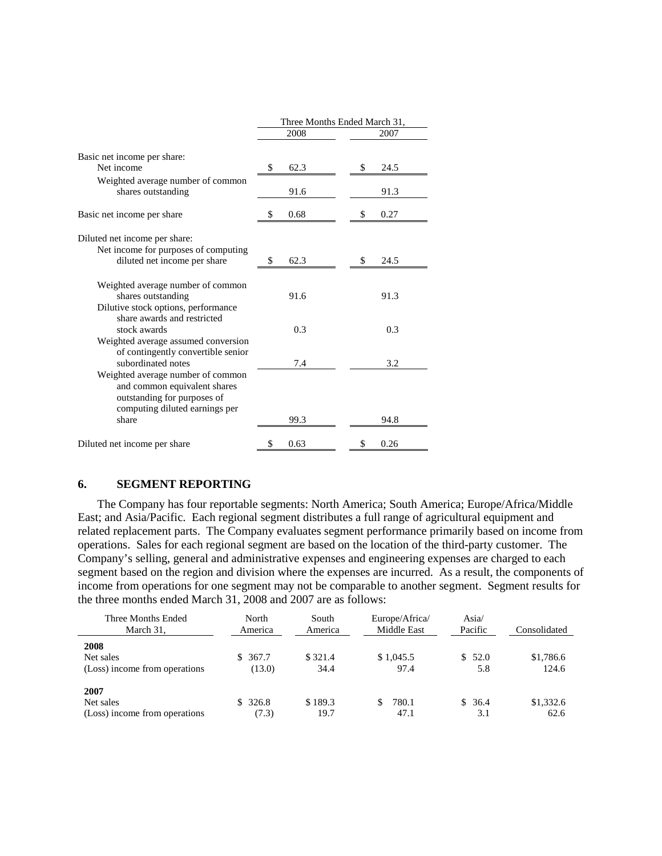|                                                                                                                                             | Three Months Ended March 31, |      |    |      |  |
|---------------------------------------------------------------------------------------------------------------------------------------------|------------------------------|------|----|------|--|
|                                                                                                                                             |                              | 2008 |    | 2007 |  |
| Basic net income per share:<br>Net income                                                                                                   | \$                           | 62.3 |    | 24.5 |  |
| Weighted average number of common<br>shares outstanding                                                                                     |                              | 91.6 |    | 91.3 |  |
| Basic net income per share                                                                                                                  | S                            | 0.68 | S  | 0.27 |  |
| Diluted net income per share:<br>Net income for purposes of computing<br>diluted net income per share                                       | \$                           | 62.3 | S. | 24.5 |  |
| Weighted average number of common<br>shares outstanding<br>Dilutive stock options, performance                                              |                              | 91.6 |    | 91.3 |  |
| share awards and restricted<br>stock awards<br>Weighted average assumed conversion                                                          |                              | 0.3  |    | 0.3  |  |
| of contingently convertible senior<br>subordinated notes                                                                                    |                              | 7.4  |    | 3.2  |  |
| Weighted average number of common<br>and common equivalent shares<br>outstanding for purposes of<br>computing diluted earnings per<br>share |                              | 99.3 |    | 94.8 |  |
| Diluted net income per share                                                                                                                | \$                           | 0.63 | \$ | 0.26 |  |

## **6. SEGMENT REPORTING**

The Company has four reportable segments: North America; South America; Europe/Africa/Middle East; and Asia/Pacific. Each regional segment distributes a full range of agricultural equipment and related replacement parts. The Company evaluates segment performance primarily based on income from operations. Sales for each regional segment are based on the location of the third-party customer. The Company's selling, general and administrative expenses and engineering expenses are charged to each segment based on the region and division where the expenses are incurred. As a result, the components of income from operations for one segment may not be comparable to another segment. Segment results for the three months ended March 31, 2008 and 2007 are as follows:

| Three Months Ended<br>March 31,                    | North<br>America  | South<br>America | Europe/Africa/<br>Middle East | Asia/<br>Pacific | Consolidated       |
|----------------------------------------------------|-------------------|------------------|-------------------------------|------------------|--------------------|
| 2008<br>Net sales<br>(Loss) income from operations | \$367.7<br>(13.0) | \$321.4<br>34.4  | \$1,045.5<br>97.4             | \$52.0<br>5.8    | \$1,786.6<br>124.6 |
| 2007<br>Net sales<br>(Loss) income from operations | \$326.8<br>(7.3)  | \$189.3<br>19.7  | 780.1<br>47.1                 | \$36.4<br>3.1    | \$1,332.6<br>62.6  |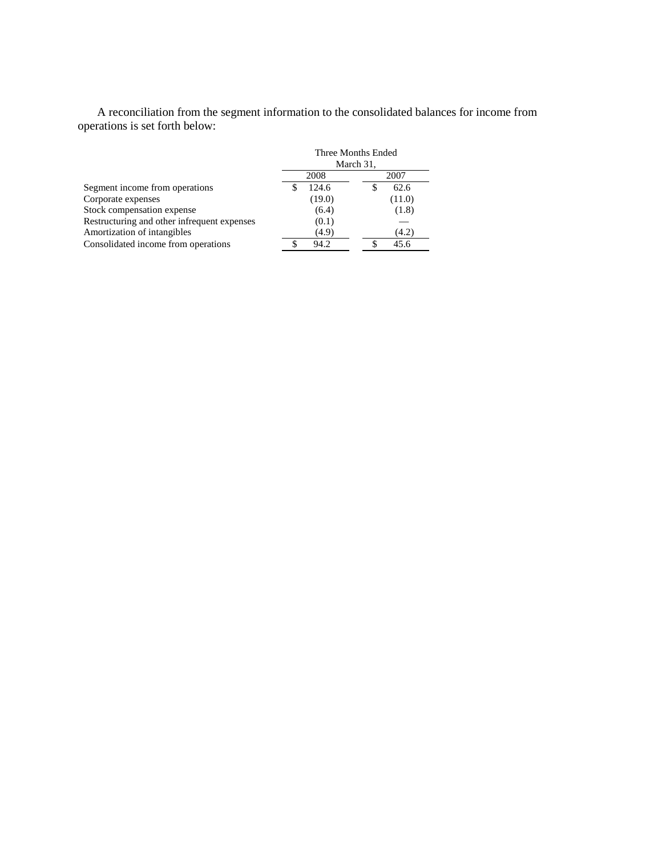A reconciliation from the segment information to the consolidated balances for income from operations is set forth below:

|                                             | Three Months Ended<br>March 31, |        |  |
|---------------------------------------------|---------------------------------|--------|--|
|                                             | 2008<br>2007                    |        |  |
| Segment income from operations              | 124.6                           | 62.6   |  |
| Corporate expenses                          | (19.0)                          | (11.0) |  |
| Stock compensation expense                  | (6.4)                           | (1.8)  |  |
| Restructuring and other infrequent expenses | (0.1)                           |        |  |
| Amortization of intangibles                 | (4.9)                           | (4.2)  |  |
| Consolidated income from operations         | 94.2                            | 45.6   |  |